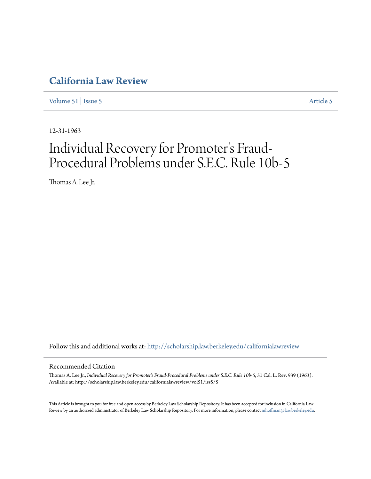# **[California Law Review](http://scholarship.law.berkeley.edu/californialawreview?utm_source=scholarship.law.berkeley.edu%2Fcalifornialawreview%2Fvol51%2Fiss5%2F5&utm_medium=PDF&utm_campaign=PDFCoverPages)**

[Volume 51](http://scholarship.law.berkeley.edu/californialawreview/vol51?utm_source=scholarship.law.berkeley.edu%2Fcalifornialawreview%2Fvol51%2Fiss5%2F5&utm_medium=PDF&utm_campaign=PDFCoverPages) | [Issue 5](http://scholarship.law.berkeley.edu/californialawreview/vol51/iss5?utm_source=scholarship.law.berkeley.edu%2Fcalifornialawreview%2Fvol51%2Fiss5%2F5&utm_medium=PDF&utm_campaign=PDFCoverPages) [Article 5](http://scholarship.law.berkeley.edu/californialawreview/vol51/iss5/5?utm_source=scholarship.law.berkeley.edu%2Fcalifornialawreview%2Fvol51%2Fiss5%2F5&utm_medium=PDF&utm_campaign=PDFCoverPages)

12-31-1963

# Individual Recovery for Promoter 's Fraud-Procedural Problems under S.E.C. Rule 10b-5

Thomas A. Lee Jr.

Follow this and additional works at: [http://scholarship.law.berkeley.edu/californialawreview](http://scholarship.law.berkeley.edu/californialawreview?utm_source=scholarship.law.berkeley.edu%2Fcalifornialawreview%2Fvol51%2Fiss5%2F5&utm_medium=PDF&utm_campaign=PDFCoverPages)

### Recommended Citation

Thomas A. Lee Jr., *Individual Recovery for Promoter's Fraud-Procedural Problems under S.E.C. Rule 10b-5*, 51 Cal. L. Rev. 939 (1963). Available at: http://scholarship.law.berkeley.edu/californialawreview/vol51/iss5/5

This Article is brought to you for free and open access by Berkeley Law Scholarship Repository. It has been accepted for inclusion in California Law Review by an authorized administrator of Berkeley Law Scholarship Repository. For more information, please contact [mhoffman@law.berkeley.edu](mailto:mhoffman@law.berkeley.edu).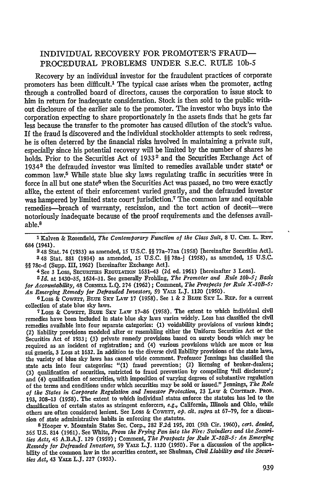## INDIVIDUAL RECOVERY FOR PROMOTER'S FRAUD-PROCEDURAL PROBLEMS UNDER **S.E.C.** RULE **lOb-5**

Recovery by an individual investor for the fraudulent practices of corporate promoters has been difficult.1 The typical case arises when the promoter, acting through a controlled board of directors, causes the corporation to issue stock to him in return for inadequate consideration. Stock is then sold to the public without disclosure of the earlier sale to the promoter. The investor who buys into the corporation expecting to share proportionately in the assets finds that he gets far less because the transfer to the promoter has caused dilution of the stock's value. If the fraud is discovered and the individual stockholder attempts to seek redress, he is often deterred by the financial risks involved in maintaining a private suit, especially since his potential recovery will be limited by the number of shares he holds. Prior to the Securities Act of 1933<sup>2</sup> and the Securities Exchange Act of 1934<sup>3</sup> the defrauded investor was limited to remedies available under state<sup>4</sup> or common law.5 While state blue sky laws regulating traffic in securities were in force in all but one state<sup>6</sup> when the Securities Act was passed, no two were exactly alike, the extent of their enforcement varied greatly, and the defrauded investor was hampered by limited state court jurisdiction.<sup>7</sup> The common law and equitable remedies-breach of warranty, rescission, and the tort action of deceit-were notoriously inadequate because of the proof requirements and the defenses available.8

**1** Kalven & Rosenfield, *The Contemporary Function of the Class Suit,* **8 U.** Cur. L. REv. 684 (1941).

248 Stat. 74 (1933) as amended, **15 U.S.C.** §§ 77a-77aa **(1958)** [hereinafter Securities Act]. :48 Stat. 881 (1934) as amended, **15** U.S.C. §§ **78a-j** (1958), as amended, 15 U.S.C. §§ 78c-d (Supp. **I1, 1962)** [hereinafter Exchange Act].

**4** See **3** Loss, Sxcuarris REGULATioN 1631-43 **(2d** ed. 1961) [hereinafter **3** Loss).

*G Id.* at 1430-35, 1624-31. See generally Frohling, *The Promoter and Rule lOb-5; Basis for Accountability, 48 CORNELL L.Q. 274 (1962); Comment, The Prospects for Rule X-10B-5:* An Emerging Remedy for Defrauded Investors, 59 YALE L.J. 1120 (1950).

6Loss & CowErT, BLuE SxY LAw 17 (1958). See 1 & 2 BLu **Sxy** L. **REP,.** for a current collection of state blue sky laws.

<sup>7</sup> Loss & Cowerr, BLUE SKY LAW 17-86 (1958). The extent to which individual civil remedies have been included in state blue sky laws varies widely. Loss has classified the civil remedies available into four separate categories: **(1)** voidability provisions of various kinds; (2) liability provisions modeled after or resembling either the Uniform Securities Act or the Securities Act of 1933; **(3)** private remedy provisions based on surety bonds which may be required as an incident of registration; and (4) various provisions which are more or less sui generis, 3 Loss at 1632. In addition to the diverse civil liability provisions of the state laws, the variety of blue sky laws has caused wide comment. Professor Jennings has classified the state acts into four categories: "(1) fraud prevention; (2) licensing of broker-dealers; **(3)** qualification of securities, restricted to fraud prevention by compelling 'full disclosure'; and (4) qualification of securities, with imposition of varying degrees of substantive regulation of the terms and conditions under which securities may be sold or issued." Jennings, *The Role of the States in Corporate Regulation and Investor Protection,* **23 LAW** & CONTEMP. PRoB. 193, 208-13 (1958). The extent to which individual states enforce the statutes has led to the classification of certain states as stringent enforcers, *e.g.,* California, Illinois and Ohio, while others are often considered lement. See Loss & Cowerr, op. cit. supra at 67-79, for a discussion of state administrative habits in enforcing the statutes.

<sup>8</sup> Hooper v. Mountain States Sec. Corp., **282** F.2d 195, 201 (5th Cir. 1960), *cert. denied,* **365 U.S.** 814 (1961). See White, *From the Frying Pan into the Fire: Swindlers and the Securities Acts,* 45 **A.BA.J. 129** (1959); Comment, *The Prospects for Rule X-1OB-5: An Emerging Remedy for Defrauded Investors,* 59 YALE L.J. 1120 (1950). For a discussion of the applicability of the common law in the securities context, see Shulman, *Civil Liability and the Securities Act, 43 YALE L.J. 227 (1933).*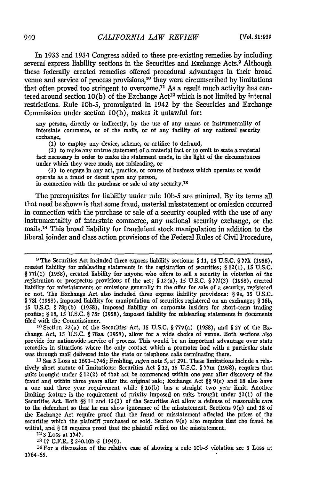In 1933 and 1934 Congress added to these pre-existing remedies **by** including several express liability sections in the Securities and Exchange Acts.<sup>9</sup> Although these federally created remedies offered procedural advantages in their broad venue and service of process provisions,<sup>10</sup> they were circumscribed by limitations that often proved too stringent to overcome.<sup>11</sup> As a result much activity has centered around section 10(b) of the Exchange Act<sup>12</sup> which is not limited by internal restrictions. Rule lOb-5, promulgated in 1942 by the Securities and Exchange Commission under section 10(b), makes it unlawful for:

any person, directly or indirectly, **by** the use of any means or instrumentality of interstate commerce, or of the mails, or of any facility of any national security exchange,

**(1)** to employ any device, scheme, or artifice to defraud,

(2) to make any untrue statement of a material fact or to omit to state a material fact necessary in order to make the statement made, in the light of the circumstances under which they were made, not misleading, or

(3) to engage in any act, practice, or course of business which operates or would operate as a fraud or deceit upon any person,

in connection with the purchase or sale of any security.13

The prerequisites for liability under rule **lOb-5** are minimal. By its terms all that need be shown is that some fraud, material misstatement or omission occurred in connection with the purchase or sale of a security coupled with the use of any instrumentality of interstate commerce, any national security exchange, or the mails.14 This broad liability for fraudulent stock manipulation in addition to the liberal joinder and class action provisions of the Federal Rules of Civil Procedure,

**12 3** Loss at **1747.**

**13 17** C.F.R. § 240.10b-5 (1949).

**14For** a discussion of the relative ease of showing a rule **1ob-S** violation see 3 Loss at **1764-65.**

**<sup>9</sup>** The Securities Act included three express liability sections: *§ 11,* 15 **U.S.C.** *§* **77k (1958),** created liability for misleading statements in the registration of securities; *§* 12(1), **15 U.S.C.** § **771(1)** (1958), created liability for anyone who offers to sell a security in violation of the registration or prospectus provisions of the act; *§* 12(a), **15 U.S.C.** *§* **771(2)** (1958), created liability for misstatements or omissions generally in the offer for sale of a security, registered or not. The Exchange Act also included three express liability provisions: § 9e, **15 U.S.C.** *§* **781** (1958), imposed liability for manipulation of securities registered on an exchange; § 16b, **15** U.S.C. § 78p(b) (1958), imposed liability on corporate insiders for short-term trading profits; *§ 18,* **15** U.S.C. § 78r (1958), imposed liability for misleading statements in documents filed with the Commissioner.

**<sup>10</sup>** Section 22(a) of the Securities Act, 15 **U.S.C.** *§* 77v(a) **(1958),** and *§* **27** of the Exchange Act, 15 **U.S.C.** *§* 78aa **(1958),** allow for a wide choice of venue. Both sections also provide for nationwide service of process. This would be an important advantage over state remedies in situations where the only contact which a promoter had with a particular state was through mail delivered into the state or telephone calls terminating there.

**<sup>11</sup>** See 3 Loss at 1691-1746; Frohling, *supra* note **5,** at 291. These limitations include a relatively short statute of limitations: Securities Act *§* **13,** 15 **U.S.C.** *§* 77m **(1958),** requires that suits brought under *§* 12(2) of that act be commenced within one year after discovery of the fraud and within three years after the original sale; Exchange Act *§§* 9(e) and **18** also have a one and three year requirement while *§* **16(b)** has a straight two year limit. Another limiting feature is the requirement of privity imposed on suits brought under **12(1)** of the Securities Act. Both *§* 11 and 12(2) of the Securities Act allow a defense of reasonable care to the defendant so that he can show ignorance of the misstatement. Sections 9(e) and 18 of the Exchange Act require proof that the fraud or misstatement affected the prices of the securities which the plaintiff purchased or sold. Section 9(e) also requires that the fraud be willful, and *§* **18** requires proof that the plaintiff relied on the misstatement.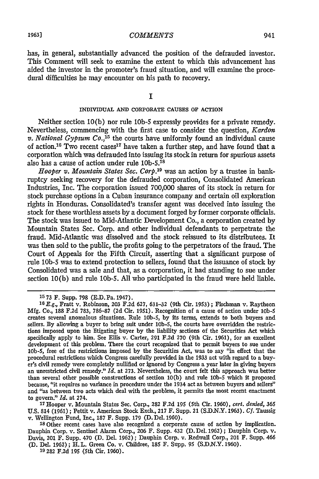has, in general, substantially advanced the position of the defrauded investor. This Comment will seek to examine the extent to which this advancement has aided the investor in the promoter's fraud situation, and will examine the procedural difficulties he may encounter on his path to recovery.

**I**

#### INDIVIDUAL **AND CORPORATE CAUSES** OF ACTION

Neither section **10(b)** nor rule **10b-5** expressly provides for a private remedy. Nevertheless, commencing with the first case to consider the question, *Kardon v. National Gypsum Co.,<sup>15</sup>*the courts have uniformly found an individual cause of action.<sup>16</sup> Two recent cases<sup>17</sup> have taken a further step, and have found that a corporation which was defrauded into issuing its stock in return for spurious assets also has a cause of action under rule **10b-5.18**

*Hooper v. Mountain States Sec. Corp.'<sup>9</sup>*was an action by a trustee in bankruptcy seeking recovery for the defrauded corporation, Consolidated American Industries, Inc. The corporation issued 700,000 shares of its stock in return for stock purchase options in a Cuban insurance company and certain oil exploration rights in Honduras. Consolidated's transfer agent was deceived into issuing the stock for these worthless assets by a document forged by former corporate officials. The stock was issued to Mid-Atlantic Development Co., a corporation created by Mountain States Sec. Corp. and other individual defendants to perpetrate the fraud. Mid-Atlantic was dissolved and the stock reissued to its distributees. It was then sold to the public, the profits going to the perpetrators of the fraud. The Court of Appeals for the Fifth Circuit, asserting that a significant purpose of rule **10b-S** was to extend protection to sellers, found that the issuance of stock by Consolidated was a sale and that, as a corporation, it had standing to sue under section 10(b) and rule **10b-5.** All who participated in the fraud were held liable.

17Hooper v. Mountain States Sec. Corp., 282 **F.2d 195** (5th Cir. 1960), *cert. denied,* **365** U.S. 814 (1961); Pettit v. American Stock Exch., 217 F. Supp. 21 (S.D.N.Y. 1963). *Cf.* Taussig v. Wellington Fund, Inc., **187** F. Supp. 179 (D. Del. 1960).

**18** Other recent cases have also recognized a corporate cause of action by implication. Dauphin Corp. v. Sentinel Alarm Corp., **206** F. Supp. 432 (D. Del. **1962)** ; Dauphin Corp. v. Davis, 201 F. Supp. 470 **(D.** Del. 1962); Dauphin Corp. v. Redwall Corp., 201 F. Supp. 466 (D. Del. 1962) ; H. L. Green Co. v. Childree, **185** F. Supp. **95** (S.D.N.Y. 1960).

**19 282** F.2d **195** (5th Cir. 1960).

**<sup>15</sup>73** F. Supp. 798 (E.D. Pa. 1947).

**<sup>1</sup>** *E.g.,* Fratt v. Robinson, 203 F.2d 627, 631-32 (9th Cir. 1953) ; Fischman v. Raytheon Mfg. Co., 188 F.2d 783, 786-87 (2d Cir. 1951). Recognition of a cause of action under **lob-S** creates several anomalous situations. Rule **lob-5, by** its terms, extends to both buyers and sellers. **By** allowing a buyer to bring suit under lob-S, the courts have overridden the restrictions imposed upon the litigating buyer by the liability sections of the Securities Act which specifically apply to him. See Ellis v. Carter, **291** F.2d 270 (9th Cir. **1961),** for an excellent development of this problem. There the court recognized that to permit buyers to sue under **lob-5,** free of the restrictions imposed by the Securities Act, was to say "in effect that the procedural restrictions which Congress carefully provided in the **1933** act with regard to a buyer's civil remedy were completely nullified or ignored by Congress a year later in giving buyers an unrestricted civil remedy." *Id.* at 273. Nevertheless, the court felt this approach was better than several other possible constructions of section 10(b) and rule **lob-S** which it proposed because, "it requires no variance in procedure under the 1934 act as between buyers and sellers" and "as between two acts which deal with the problem, it permits the most recent enactment to govern." *Id.* at 274.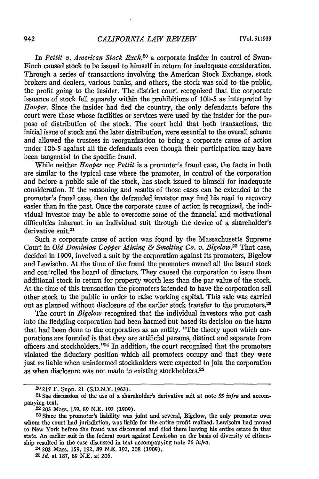In *Pettit v. American Stock Exck. <sup>20</sup>*a corporate insider in control of Swan-Finch caused stock to be issued to himself in return for inadequate consideration. Through a series of transactions involving the American Stock Exchange, stock brokers and dealers, various banks, and others, the stock was sold to the public, the profit going to the insider. The district court recognized that the corporate issuance of stock fell squarely within the prohibitions of **10b-5** as interpreted by Hooper. Since the insider had fied the country, the only defendants before the court were those whose facilities or services were used by the insider for the purpose of distribution of the stock. The court held that both transactions, the initial issue of stock and the later distribution, were essential to the overall scheme and allowed the trustees in reorganization to bring a corporate cause of action under **10b-5** against all the defendants even though their participation may have been tangential to the specific fraud.

While neither *Hooper* nor *Pettit* is a promoter's fraud case, the facts in both are similar to the typical case where the promoter, in control of the corporation and before a public sale of the stock, has stock issued to himself for inadequate consideration. If the reasoning and results of those cases can be extended to the promoter's fraud case, then the defrauded investor may find his road to recovery easier than in the past. Once the corporate cause of action is recognized, the individual investor may be able to overcome some of the financial and motivational difficulties inherent in an individual suit through the device of a shareholder's derivative suit.<sup>21</sup>

Such a corporate cause of action was found by the Massachusetts Supreme Court in *Old Dominion Copper Mining & Smelting Co. v. Bigelow.2* That case, decided in 1909, involved a suit by the corporation against its promoters, Bigelow and Lewisohn. At the time of the fraud the promoters owned all the issued stock and controlled the board of directors. They caused the corporation to issue them additional stock in return for property worth less than the par value of the stock. At the time of this transaction the promoters intended to have the corporation sell other stock to the public in order to raise working capital. This sale was carried out as planned without disclosure of the earlier stock transfer to the promoters.<sup>23</sup>

The court in *Bigelow* recognized that the individual investors who put cash into the fledgling corporation had been harmed but based its decision on the harm that had been done to the corporation as an entity. "The theory upon which corporations are founded is that they are artificial persons, distinct and separate from officers and stockholders."<sup>24</sup> In addition, the court recognized that the promoters violated the fiduciary position which all promoters occupy and that they were just as liable when uninformed stockholders were expected to join the corporation as when disclosure was not made to existing stockholders.<sup>25</sup>

2 **203** Mass. 159, **192,** 89 N.E. 193, **208** (1909).

<sup>20</sup> **217** F. Supp. 21 (S.D.N.Y. 1963).

**<sup>21</sup>** See discussion of the use of a shareholder's derivative suit at note 55 infra and accompanying text.

**<sup>22</sup> 203** Mass. **159, 89 N.E. 193 (1909).**

**<sup>23</sup>** Since the promoter's liability was joint and several, Bigelow, the only promoter over whom the court had jurisdiction, was liable for the entire profit realized. Lewisohn had moved to New York before the fraud was discovered and died there leaving his entire estate in that state. An earlier suit in the federal court against Lewisohn on the basis of diversity of citizenship resulted in the case discussed in text accompanying note 26 *infra.*

**<sup>25</sup>***Id.* at 187, 89 N.E. at 206.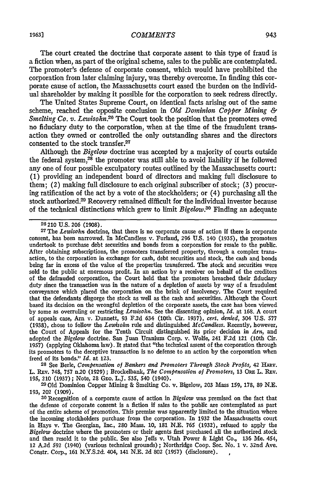The court created the doctrine that corporate assent to this type of fraud is a fiction when, as part of the original scheme, sales to the public are contemplated. The promoter's defense of corporate consent, which would have prohibited the corporation from later claiming injury, was thereby overcome. In finding this corporate cause of action, the Massachusetts court eased the burden on the individual shareholder by making it possible for the corporation to seek redress directly.

The United States Supreme Court, on identical facts arising out of the same scheme, reached the opposite conclusion in *Old Dominion Copper Mining & Smelting Co. v. Lewisohn.*<sup>26</sup> The Court took the position that the promoters owed no fiduciary duty to the corporation, when at the time of the fraudulent transaction they owned or controlled the only outstanding shares and the directors consented to the stock transfer.<sup>27</sup>

Although the *Bigelow* doctrine was accepted by a majority of courts outside the federal system,<sup>28</sup> the promoter was still able to avoid liability if he followed any one of four possible exculpatory routes outlined by the Massachusetts court: (1) providing an independent board of directors and making full disclosure to them; *(2)* making full disclosure to each original subscriber of stock; (3) procuring ratification of the act by a vote of the stockholders; or (4) purchasing all the stock authorized.<sup>29</sup> Recovery remained difficult for the individual investor because of the technical distinctions which grew to limit *Bigelow.30* Finding an adequate

<sup>26</sup> 210 U.S. 206 (1908).<br><sup>27</sup> The *Lewisohn* doctrine, that there is no corporate cause of action if there is corporate consent, has been narrowed. In McCandless v. Furlaud, 296 U.S. 140 (1935), the promoters undertook to purchase debt securities and bonds from a corporation for resale to the public. After obtaining subscriptions, the promoters transferred property, through a complex transaction, to the corporation in exchange for cash, debt securities and stock, the cash and bonds being far in excess of the value of the properties transferred. The stock and securities were sold to the public at enormous profit. In an action by a receiver on behalf of the creditors of the defrauded corporation, the Court held that the promoters breached their fiduciary duty since the transaction was in the nature of a depletion of assets by way of a fraudulent conveyance which placed the corporation on the brink of insolvency. The Court required that the defendants disgorge the stock as well as the cash and securities. Although the Court based its decision on the wrongful depletion of the corporate assets, the case has been viewed by some as overruling or restricting *Lewisohn.* See the dissenting opinion, *Id.* at 168. A court of appeals case, Am v. Dunett, 93 F.2d 634 (10th Cir. 1937), *cert. denied,* 304 U.S. **<sup>577</sup>** (1938), chose to follow the *Lewisohn* rule and distinguished *McCandless.* Recently, however, the Court of Appeals for the Tenth Circuit distinguished its prior decision in *Am,* and adopted the *Bigelow* doctrine. San Juan Uranium Corp. v. Wolfe, 241 F.2d 121 (10th Cir. 1957) (applying Oklahoma law). It stated that "the technical assent of the corporation through its promoters to the deceptive transaction is no defense to an action by the corporation when freed of its bonds." *Id.* at 123. **<sup>28</sup>**See Berle, *Compensation of Bankers and Promoters Through Stock Profits,* 42 HARV.

L. REv. 748, 757 n.20 **(1929);** Brockelbank, *The Compensation of Promoters,* 13 ORE L. Rxv. 195, 210 (1937); Note, 28 GEo. L.J. **535,** 540 (1940).

**20d** Dominion Copper Mining & Smelting Co. v. Bigelow, 203 Mass **159, 178, 89** N.E. **193,** 202 (1909).

**3o** Recognition of a corporate cause of action in *Bigelow* was premised on the fact that the defense of corporate consent is a fiction if sales to the public are contemplated as part of the entire scheme of promotion. This premise was apparently limited to the situation where the incoming stockholders purchase from the corporation. In **1932** the Massachusetts court in Hays v. The Georgian, Inc., 280 Mass. **10, 181** N.E. **765** (1932), refused to apply the *Bigelow* doctrine where the promoters or their agents first purchased all the authorized stock and then resold it to the public. See also Jeffs v. Utah Power & Light Co., 136 Me. 454, 12 A.2d **592** (1940) (various technical grounds); Northridge Coop. Sec. No. 1 v. 32nd Ave. Constr. Corp., **161 N.Y.S.2d.** 404, 141 N.E. 2d 802 (1957) (disclosure).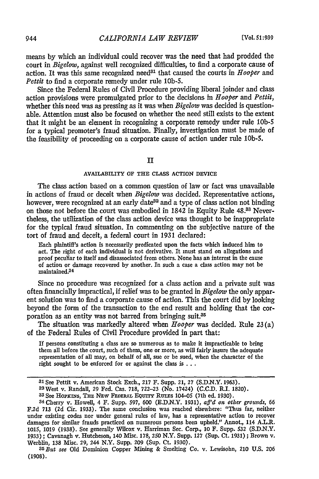means by which an individual could recover was the need that had prodded the court in *Bigelow,* against well recognized difficulties, to find a corporate cause of action. It was this same recognized need<sup>31</sup> that caused the courts in  $Hooper$  and *Pettit* to find a corporate remedy under rule 10b-5.

Since the Federal Rules of Civil Procedure providing liberal joinder and class action provisions were promulgated prior to the decisions in *Hooper* and *Pettit,* whether this need was as pressing as it was when *Bigelow* was decided is questionable. Attention must also be focused on whether the need still exists to the extent that it might be an element in recognizing a corporate remedy under rule **10b-S** for a typical promoter's fraud situation. Finally, investigation must be made of the feasibility of proceeding on a corporate cause of action under rule **10b-5.**

#### **II**

#### AVAILABILITY OF **THE CLASS** ACTION **DEVICE**

The class action based on a common question of law or fact was unavailable in actions of fraud or deceit when *Bigelow* was decided. Representative actions, however, were recognized at an early date<sup>32</sup> and a type of class action not binding on those not before the court was embodied in 1842 in Equity Rule 48.33 Nevertheless, the utilization of the class action device was thought to be inappropriate for the typical fraud situation. In commenting on the subjective nature of the tort of fraud and deceit, a federal court in 1931 declared:

Each plaintiff's action is necessarily predicated upon the facts which induced him to act. The right of each individual is not derivative. It must stand on allegations and proof peculiar to itself and disassociated from others. None has an interest in the cause of action or damage recovered by another. In such a case a class action may not **be** maintained.<sup>34</sup>

Since no procedure was recognized for a class action and a private suit was often financially impractical, if relief was to be granted in *Bigelow* the only apparent solution was to find a corporate cause of action. This the court did by looking beyond the form of the transaction to the end result and holding that the corporation as an entity was not barred from bringing suit.35

The situation was markedly altered when *Hooper* was decided. Rule **23** (a) of the Federal Rules of Civil Procedure provided in part that:

If persons constituting a class are so numerous as to make it impracticable to bring them all before the court, such of them, one or more, as will fairly insure the adequate representation of all may, on behalf of all, sue or be sued, when the character of the right sought to be enforced for **or** against the class is **...**

**<sup>31</sup>** See Pettit v. American Stock Exch., **217** F. Supp. 21, **27 (S.D.N.Y.** 1963). 32West v. Randall, 29 Fed. Cas. 718, **722-23** (No. 11424) (C.C.D. R.I. 1820). **<sup>33</sup>**See Hopxnqs, Tnx **NEw FEDERAL EQUvT** Ru\_.Es 104-05 (7th ed. **1930).**

**<sup>34</sup>** Cherry v. Howell, 4 F. Supp. **597, 600** (E.D.N.Y. **1931),** *aff'd* on other grounds, **66** F.2d **713** (2d Cir. **1933).** The same conclusion was reached elsewhere: "Thus far, neither under existing codes nor under general rules of law, has a representative action to recover damages for similar frauds practiced on numerous persons been upheld." Annot., 114 A.L.R. **1015,** 1019 (1938). See generally Wilcox v. Harriman Sec. Corp., 10 F. Supp. 532 (S.D.N.Y. 1933); Cavanagh v. Hutcheson, 140 Misc. 178, **250** N.Y. Supp. **127** (Sup. Ct. **1931);** Brown v. Werblin, 138 Misc. **29,** 244 N.Y. Supp. 209 (Sup. Ct. 1930). *<sup>3</sup> 5But see* **Old Dominion Copper Mining** & Smelting Co. v. Lewisohn, 210 **U.S. 206**

**<sup>(1908).</sup>**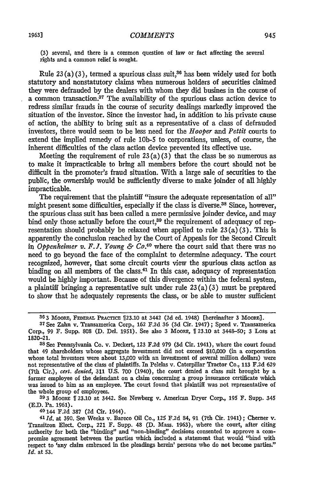**(3)** several, and there is a common question of law or fact affecting the several rights and a common relief is sought.

Rule **23** (a) **(3),** termed a spurious class suit,36 has been widely used for both statutory and nonstatutory claims when numerous holders of securities claimed they were defrauded **by** the dealers with whom they did busines in the course of a common transaction.<sup>37</sup> The availability of the spurious class action device to redress similar frauds in the course of security dealings markedly improved the situation of the investor. Since the investor had, in addition to his private cause of action, the ability to bring suit as a representative of a class of defrauded investors, there would seem to be less need for the *Hooper* and *Pettit* courts to extend the implied remedy of rule **10b-5** to corporations, unless, of course, the inherent difficulties of the class action device prevented its effective use.

Meeting the requirement of rule 23(a) **(3)** that the class be so numerous as to make it impracticable to bring all members before the court should not be difficult in the promoter's fraud situation. With a large sale of securities to the public, the ownership would be sufficiently diverse to make joinder of all **highly** impracticable.

The requirement that the plaintiff "insure the adequate representation of all" might present some difficulties, especially if the class is diverse.<sup>38</sup> Since, however, the spurious class suit has been called a mere permissive joinder device, and may bind only those actually before the court,<sup>39</sup> the requirement of adequacy of representation should probably be relaxed when applied to rule  $23(a)(3)$ . This is apparently the conclusion reached **by** the Court of Appeals for the Second Circuit in *Oppenheimer v. F. J. Young & C. <sup>40</sup>*where the court said that there was no need to go beyond the face of the complaint to determine adequacy. The court recognized, however, that some circuit courts view the spurious class action as binding on all members of the class.<sup>41</sup> In this case, adequacy of representation would be **highly** important. Because of this divergence within the federal system, a plaintiff bringing a representative suit under rule 23 (a) **(3)** must be prepared to show that he adequately represents the class, or be able to muster sufficient

**<sup>39</sup>3** MooRE **ff 23.10** at 3442. See Newberg v. American Dryer Corp., **195** F. Supp. 345 **(E.D.** Pa. **1961).** 40 144 F.2d **387** (2d Cir. 1944). <sup>41</sup>**Id.** at 390. See Weeks v. Bareco Oil Co., 125 F.2d 84, **91** (7th Cir. 1941) **;** Cherner v.

Transitron Elect. Corp., 221 F. Supp. 48 **(D.** Mass. **1963),** where the court, after citing authority for both the "binding" and "non-binding" decisions consented to approve a compromise agreement between the parties which included a statement that would "bind with respect to 'any claim embraced in the pleadings herein' persons who do not become parties." *Id.* at **53.**

**<sup>36</sup>3** MooRE, **FEDERAL** PRACTICE **23.10** at 3442 **(2d** ed. 1948) [hereinafter 3 Moopa].

**<sup>37</sup>**See Zahn v. Transamerica Corp., **162 F.2d 36 (3d** Cir. 1947) ; Speed v. Transamerica Corp., **99** F. Supp. **808 (D.** Del. **1951).** See also **3** MooRE, **123.10** at 3448-50; **3** Loss at **1820-21.**

**<sup>38</sup>** See Pennsylvania Co. v. Deckert, **123 F.2d 979 (3d** Cir. 1941), where the court found that 49 shareholders whose aggregate investment did not exceed **\$10,000** (in a corporation whose total investors were about 13,000 with an investment of several million dollars) were not representative of the class of plaintiffs. In Pelelas v. Caterpillar Tractor Co., **113 F.2d 629** (7th Cir.), *cert. denied,* **311 U.S. 700** (1940), the court denied a class suit brought **by** a former employee of the defendant on a claim concerning a group insurance certificate which was issued to him as an employee. The court found that plaintiff was not representative of the whole group of employees.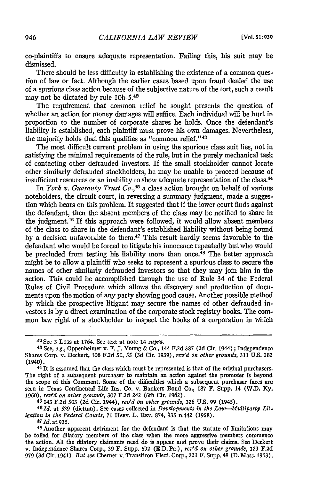co-plaintiffs to ensure adequate representation. Failing this, his suit may be dismissed.

There should be less difficulty in establishing the existence of a common question of law or fact. Although the earlier cases based upon fraud denied the use of a spurious class action because of the subjective nature of the tort, such a result may not be dictated by rule 10b-5.42

The requirement that common relief be sought presents the question of whether an action for money damages will suffice. Each individual will be hurt in proportion to the number of corporate shares he holds. Once the defendant's liability is established, each plaintiff must prove his own damages. Nevertheless, the majority holds that this qualifies as "common relief."<sup>43</sup>

The most difficult current problem in using the spurious class suit lies, not in satisfying the minimal requirements of the rule, but in the purely mechanical task of contacting other defrauded investors. If the small stockholder cannot locate other similarly defrauded stockholders, he may be unable to proceed because of insufficient resources or an inability to show adequate representation of the class. <sup>44</sup>

In *York v. Guaranty Trust Co.,4 <sup>5</sup>*a class action brought on behalf of various noteholders, the circuit court, in reversing a summary judgment, made a suggestion which bears on this problem. It suggested that if the lower court finds against the defendant, then the absent members of the class may be notified to share in the judgment.46 If this approach were followed, it would allow absent members of the class to share in the defendant's established liability without being bound by a decision unfavorable to them.47 This result hardly seems favorable to the defendant who would be forced to litigate his innocence repeatedly but who would be precluded from testing his liability more than once.<sup>48</sup> The better approach might be to allow a plaintiff who seeks to represent a spurious class to secure the names of other similarly defrauded investors so that they may join him in the action. This could be accomplished through the use of Rule 34 of the Federal Rules of Civil Procedure which allows the discovery and production of documents upon the motion of any party showing good cause. Another possible method by which the prospective litigant may secure the names of other defrauded investors is by a direct examination of the corporate stock registry books. The common law right of a stockholder to inspect the books of a corporation in which

**45** 143 F.2d 503 **(2d** Cir. 1944), *rev'd on other grounds,* 326 U.S. 99 (1945).

*461d.* at **529** (dictum). See cases collected in *Developments in the Law-Multiparty Litigation in the Federal Courts, 71 HARV. L. REV. 874, 935 n.442 (1958).*<br><sup>47</sup>*Id.* at 935.<br><sup>48</sup> Another apparent detriment for the defendant is that the statute of limitations may

<sup>42</sup> See 3 Loss at 1764. See text at note 14 supra.

<sup>43</sup>See, **e.g.,** Oppenheimer v. F. **J.** Young & Co., 144 **F.2d** 387 **(2d** Cir. 1944); Independence Shares Corp. v. Deckert, 108 F.2d 51, 55 (3d Cir. 1939), *rev'd on other grounds,* 311 U.S. **282**

<sup>&</sup>lt;sup>44</sup> It is assumed that the class which must be represented is that of the original purchasers. The right of a subsequent purchaser to maintain an action against the promoter is beyond the scope of this Comment. Some of the difficulties which a subsequent purchaser faces are seen in Texas Continental Life Ins. Co. v. Bankers Bond Co., 187 F. Supp. 14 (W.D. **Ky.** 1960), *rev'd on other grounds,* 307 F.2d 242 (6th Cir. 1962).

be tolled for dilatory members of the class when the more aggressive members commence the action. All the dilatory claimants need do is appear and prove their claims. See Deckert v. Independence Shares Corp., 39 F. Supp. 592 (E.D. Pa.), *rev'd on other grounds,* **123** F.2d 979 (3d Cir. 1941). *But see* Cherner v. Transitron Elect. Corp., 221 F. Supp. 48 (D. Mass. 1963).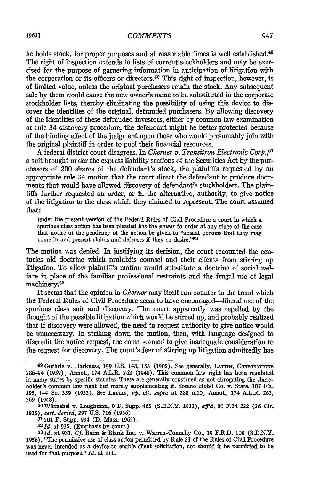he holds stock, for proper purposes and at reasonable times is well established.<sup>49</sup> The right of inspection extends to lists of current stockholders and may be exercised for the purpose of garnering information in anticipation of litigation with the corporation or its officers or directors.<sup>50</sup> This right of inspection, however, is of limited value, unless the original purchasers retain the stock. Any subsequent sale by them would cause the new owner's name to be substituted in the corporate stockholder lists, thereby eliminating the possibility of using this device to discover the identities of the original, defrauded purchasers. By allowing discovery of the identities of these defrauded investors, either by common law examination or rule 34 discovery procedure, the defendant might be better protected because of the binding effect of the judgment upon those who would presumably join with the original plaintiff in order to pool their financial resources.

A federal district court disagrees. In *Cherner v. Transitron Electronic Corp.,51* a suit brought under the express liability sections of the Securities Act by the purchasers of 200 shares of the defendant's stock, the plaintiffs requested by an appropriate rule 34 motion that the court direct the defendant to produce documents that would have allowed discovery of defendant's stockholders. The plaintiffs further requested an order, or in the alternative, authority, to give notice of the litigation to the class which they claimed to represent. The court assumed that:

under the present version of the Federal Rules of Civil Procedure a court in which a spurious class action has been pleaded has the *power* to order at any stage of the case that notice of the pendency of the action be given to "absent persons that they may come in and present claims and defenses if they so desire."<sup>52</sup>

The motion was denied. In justifying its decision, the court recounted the centuries old doctrine which prohibits counsel and their clients from stirring up litigation. To allow plaintiff's motion would substitute a doctrine of social welfare in place of the familiar professional restraints and the frugal use of legal machinery.<sup>53</sup>

It seems that the opinion in *Cherner* may itself run counter to the trend which the Federal Rules of Civil Procedure seem to have encouraged-liberal use of the spurious class suit and discovery. The court apparently was repelled by the thought of the possible litigation which would be stirred up, and probably realized that if discovery were allowed, the need to request authority to give notice would be unnecessary. In striking down the motion, then, with language designed to discredit the notice request, the court seemed to give inadequate consideration to the request for discovery. The court's fear of stirring up litigation admittedly has

<sup>5</sup> <sup>0</sup> Wittnebel v. Loughman, 9 F. Supp. 465 **(S.D.N.Y.** 1933), *af'd,* 80 F.2d 222 (2d Cir. 1935), *cert. denied,* **297** U.S. **716** (1936).

51201 F. Supp. 934 **(D.** Mass. 1962). <sup>52</sup>**Id.** at **935.** (Emphasis by court.)

*53 Id.* at **937.** *Cf.* **Bairn** & Blank Inc. v. Warren-Connelly Co., 19 F.R.D. **108** (S.D.N.Y. 1956). "The permissive use of class action permitted **by** Rule **23** of the Rules of Civil Procedure was never intended as a device to enable client solicitation, nor should it be permitted to be used for that purpose." *Id.* at 111.

**<sup>49</sup>** Guthrie v. Harkness, **199 U.S.** 148, **153 (1905).** See generally, **LA=TrI,** CoRPoRATioNs 286-94 (1959); Annot., 174 A.L.R. 262 (1948). This common law right has been regulated in many states by specific statutes. These are generally construed as not abrogating the shareholder's common law right but merely supplementing it. Soreno Hotel Co. v. State, 107 Fla. **195,** 144 So. 339 (1932). See LATTiN, *op. cit. supra* at **288** n.10; Annot., 174 A.L.R. 262, **269** (1948).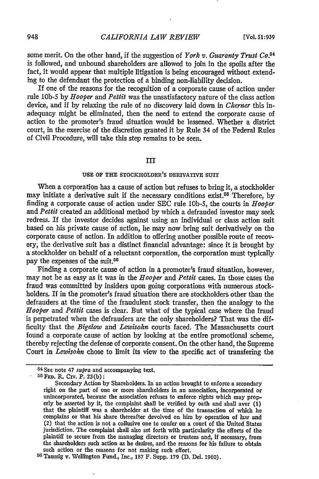some merit. On the other hand, if the suggestion of *York v. Guaranty Trust Co. <sup>4</sup>* is followed, and unbound shareholders are allowed to join in the spoils after the fact, it would appear that multiple litigation is being encouraged without extending to the defendant the protection of a binding non-liability decision.

If one of the reasons for the recognition of a corporate cause of action under rule **10b-5** by *Hooper and Pettit* was the unsatisfactory nature of the class action device, and if by relaxing the rule of no discovery laid down in *Cherner* this inadequacy might be eliminated, then the need to extend the corporate cause of action to the promoter's fraud situation would be lessened. Whether a district court, in the exercise of the discretion granted it by Rule 34 of the Federal Rules of Civil Procedure, will take this step remains to be seen.

#### III

#### **USE** OF **THE** STOCKHOLDER'S **DERIVATIVE** SUIT

When a corporation has a cause of action but refuses to bring it, a stockholder may initiate a derivative suit if the necessary conditions exist.<sup>55</sup> Therefore, by finding a corporate cause of action under SEC rule 10b-5, the courts in *Hooper* and *Pettit* created an additional method by which a defrauded investor may seek redress. If the investor decides against using an individual or class action suit based on his private cause of action, he may now bring suit derivatively on the corporate cause of action. In addition to offering another possible route of recovery, the derivative suit has a distinct financial advantage: since it is brought by a stockholder on. behalf of a reluctant corporation, the corporation must typically pay the expenses of the suit.<sup>56</sup>

Finding a corporate cause of action in a promoter's fraud situation, however, may not be as easy as it was in the *Hooper* and *Pettit* cases. In those cases the fraud was committed by insiders upon going corporations with numerous stockholders. If in the promoter's fraud situation there are stockholders other than the defrauders at the time of the fraudulent stock transfer, then the analogy to the *Hooper* and *Pettit* cases is clear. But what of the typical case where the fraud is perpetrated when the defrauders are the only shareholders? That was the difficulty that the *Bigelow* and *Lewisohn* courts faced. The Massachusetts court found a corporate cause of action by looking at the entire promotional scheme, thereby rejecting the defense of corporate consent. On the other hand, the Supreme Court in *Lewisohn* chose to limit its view to the specific act of transfering the

<sup>54</sup> See note 47 supra and accompanying text. **55 FED.** R. Civ. P. **23(b):**

Secondary Action **by** Shareholders. In an action brought to enforce a secondary right on the part of one or more shareholders in an association, incorporated or unincorporated, because the association refuses to enforce rights which may properly be asserted **by** it, the complaint shall be verified **by** oath and shall aver **(1)** that the plaintiff was a shareholder at the time of the transaction of which he complains or that his share thereafter devolved on him **by** operation of law and (2) that the action is not a collusive one to confer on a court of the United States jurisdiction. The complaint shall also set forth with particularity the efforts of the plaintiff to secure from the managing directors or trustees and, if necessary, from the shareholders such action as he desires, and the reasons for his failure to obtain such action or the reasons for not making such effort.

**<sup>56</sup>** Taussig v. Wellington Fund., Inc., **187** F. Supp. 179 **(D.** Del. **1960).**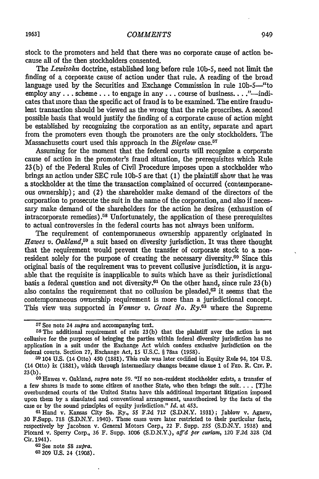stock to the promoters and held that there was no corporate cause of action because all of the then stockholders consented.

The *Lewisohn* doctrine, established long before rule 10b-5, need not limit the finding of a corporate cause of action under that rule. A reading of the broad language used by the Securities and Exchange Commission in rule 10b-5--"to employ any . . . scheme... to engage in any . . . course of business...<sup>"</sup>—indicates that more than the specific act of fraud is to be examined. The entire fraudulent transaction should be viewed as the wrong that the rule proscribes. A second possible basis that would justify the finding of a corporate cause of action might be established by recognizing the corporation as an entity, separate and apart from the promoters even though the promoters are the only stockholders. The Massachusetts court used this approach in the *Bigelow* case.<sup>57</sup>

Assuming for the moment that the federal courts will recognize a corporate cause of action in the promoter's fraud situation, the prerequisites which Rule 23 (b) of the Federal Rules of Civil Procedure imposes upon a stockholder who brings an action under SEC rule **10b-5** are that (1) the plaintiff show that he was a stockholder at the time the transaction complained of occurred (contemporaneous ownership); and (2) the shareholder make demand of the directors of the corporation to prosecute the suit in the name of the corporation, and also if necessary make demand of the shareholders for the action he desires (exhaustion of intracorporate remedies).<sup>58</sup> Unfortunately, the application of these prerequisites to actual controversies in the federal courts has not always been uniform.

The requirement of contemporaneous ownership apparently originated in *Hawes v. Oakland,55* a suit based on diversity jurisdiction. It was there thought that the requirement would prevent the transfer of corporate stock to a nonresident solely for the purpose of creating the necessary diversity.<sup>60</sup> Since this original basis of the requirement was to prevent collusive jurisdiction, it is arguable that the requisite is inapplicable to suits which have as their jurisdictional basis a federal question and not diversity.<sup>61</sup> On the other hand, since rule  $23(b)$ also contains the requirement that no collusion be pleaded, $62$  it seems that the contemporaneous ownership requirement is more than a jurisdictional concept. This view was supported in *Venner v. Great No. Ry.*<sup>63</sup> where the Supreme

**<sup>63</sup>**209 **U.S.** 24 (1908).

**<sup>57</sup>**See note 24 *supra* and accompanying text.

**rs** The additional requirement of rule 23(b) that the plaintiff aver the action is not collusive for the purposes of bringing the parties within federal diversity jurisdiction has no application in a suit under the Exchange Act which confers exclusive jurisdiction on the federal courts. Section **27,** Exchange Act, 15 U.S.C. § 78aa **(1958).**

**<sup>59</sup>**104 U.S. (14 Otto) 450 (1881). This rule was later codified in Equity Rule 94, 104 U.S. (14 Otto) ix **(1831),** which through intermediary changes became clause 1 of **FED.** R. CIV. P. 23(b).

**<sup>0</sup>o** Hawes v. Oakland, *supra* note **59.** "If no non-resident stockholder exists, a transfer **of** a few shares is made to some citizen of another State, who then brings the suit. . . . [T]he overburdened courts of the United States have this additional important litigation imposed upon them by a simulated and conventional arrangement, unauthorized by the facts of the case or by the sound principles of equity jurisdiction." *Id.* at 453.

GlHand v. Kansas City So. Ry., 55 F.2d **712** (S.D.N.Y. 1931); Jablow v. Agnew, 30 F.Supp. **718** (S.D.N.Y. 1940). These cases were later restricted to their particular facts, respectively by Jacobson v. General Motors Corp., 22 F. Supp. **255** (S.D.N.Y. 1938) and Piccard v. Sperry Corp., 36 F. Supp. 1006 (S.D.N.Y.), *aff'd per curiam,* 120 F.2d **328** (2d Cir. 1941). <sup>62</sup>See note **58** *supra.*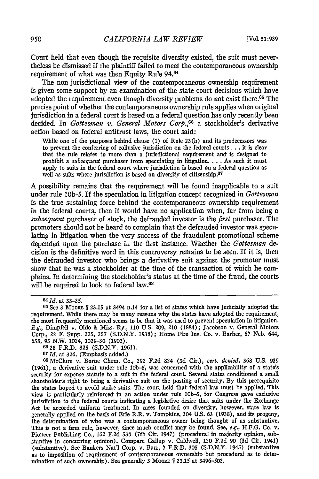Court held that even though the requisite diversity existed, the suit must nevertheless be dismissed if the plaintiff failed to meet the contemporaneous ownership requirement of what was then Equity Rule 94.<sup>64</sup>

The non-jurisdictional view of the contemporaneous ownership requirement is given some support by an examination of the state court decisions which have adopted the requirement even though diversity problems do not exist there.<sup>65</sup> The precise point of whether the contemporaneous ownership rule applies when original jurisdiction in a federal court is based on a federal question has only recently been decided. In *Gottesman v. General Motors Corp.,66* a stockholder's derivative action based on federal antitrust laws, the court said:

While one of the purposes behind clause (1) of Rule 23(b) and its predecessors was to prevent the conferring of collusive jurisdiction on the federal courts **...** it is clear that the rule relates to more than a jurisdictional requirement and is designed to prohibit a *subsequent* purchaser from speculating in litigation **....** As such it must apply to suits in the federal court where jurisdiction is based on a federal question as well as suits where jurisdiction is based on diversity of citizenship.<sup>67</sup>

A possibility remains that the requirement will be found inapplicable to a suit under rule 10b-5. If the speculation in litigation concept recognized in *Gottesman* is the true sustaining force behind the contemporaneous ownership requirement in the federal courts, then it would have no application when, far from being a *subsequent* purchaser of stock, the defrauded investor is the *first* purchaser. The promoters should not be heard to complain that the defrauded investor was speculating in litigation when the very success of the fraudulent promotional scheme depended upon the purchase in the first instance. Whether the *Gottesman* decision is the definitive word in this controversy remains to be seen. If it is, then the defrauded investor who brings a derivative suit against the promoter must show that he was a stockholder at the time of the transaction of which he complains. In determining the stockholder's status at the time of the fraud, the courts will be required to look to federal law.<sup>68</sup>

*64Id.* at 33-35.

68McClure v. Borne Chem. Co., 292 F.2d 824 **(3d** Cir.), *cert. denied,* **368** U.S. **939 (1961),** a derivative suit under rule **lob-5,** was concerned with the applicability of a state's security for expense statute to a suit in the federal court. Several states conditioned a small shareholder's right to bring a derivative suit on the posting of security. **By** this prerequisite the states hoped to avoid strike suits. The court held that federal law must be applied. This view is particularly reinforced in an action under rule **lob-5,** for Congress gave exclusive jurisdiction to the federal courts indicating a legislative desire that suits under the Exchange Act be accorded uniform treatment. In cases founded on diversity, however, state law is generally applied on the basis of Erie R.R. v. Tompkins, 304 **U.S.** 63 (1938), and its progeny, the determination of who was a contemporaneous owner being thought of as substantive.<br>This is not a firm rule, however, since much conflict may be found. See, e.g., H.F.G. Co. v. This is not a firm rule, however, since much conflict may be found. See, *e.g.*, **H.F.G. Co. v.** Pioneer Publishing Co., 162 F.2d 536 (7th Cir. 1947) (procedural in majority opinion, substantive in concurring opinion). Compare Gallup v. Caldwell, 120 F.2d 90 (3d Cir. 1941) (substantive). See Bankers Nat'l Corp. v. Barr, 7 F.R.D. 305 **(S.D.N.Y.** 1945) (substantive as to imposition of requirement of contemporaneous ownership but procedural as to determination of such ownership). See generally 3 Moore 1 23.15 at 3496-502.

<sup>65</sup> See 3 Moore *[23.15 at 3494 n.14 for a list of states which have judicially adopted the* requirement. While there may be many reasons why the states have adopted the requirement, the most frequently mentioned seems to be that it was used to prevent speculation in litigation. E.g., Dimpfell v. Ohio & Miss. Ry., **110 U.S. 209,** 210 (1884); Jacobson v. General Motors Corp., 22 F. Supp. 225, 257 (S.D.N.Y. 1938); Home Fire Ins. Co. v. Barber, 67 Neb. 644, 658, **93** N.W. 1024, **1029-30 (1903). <sup>6628</sup>**F.R.D. 325 (S.D.N.Y. 1961). *<sup>67</sup>Id.* at 326. (Emphasis added.)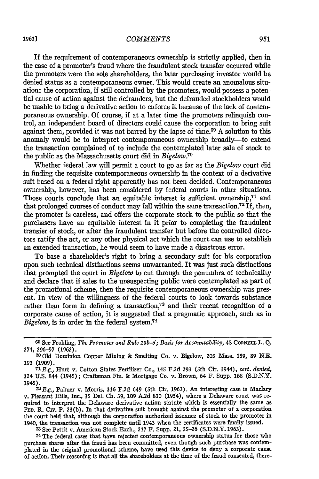#### *COMMENTS*

If the requirement of contemporaneous ownership is strictly applied, then in the case of a promoter's fraud where the fraudulent stock transfer occurred while the promoters were the sole shareholders, the later purchasing investor would be denied status as a contemporaneous owner. This would create an anomalous situation: the corporation, if still controlled by the promoters, would possess a potential cause of action against the defrauders, but the defrauded stockholders would be unable to bring a derivative action to enforce it because of the lack of contemporaneous ownership. Of course, if at a later time the promoters relinquish control, an independent board of directors could cause the corporation to bring suit against them, provided it was not barred by the lapse of time.<sup>69</sup> A solution to this anomaly would be to interpret contemporaneous ownership broadly-to extend the transaction complained of to include the contemplated later sale of stock to the public as the Massachusetts court did in *Bigelow.7°*

Whether federal law will permit a court to go as far as the *Bigelow* court did in finding the requisite contemporaneous ownership in the context of a derivative suit based on a federal right apparently has not been decided. Contemporaneous ownership, however, has been considered by federal courts in other situations. Those courts conclude that an equitable interest is sufficient ownership.<sup>71</sup> and that prolonged courses of conduct may fall within the same transaction.72 If, then, the promoter is careless, and offers the corporate stock to the public so that the purchasers have an equitable interest in it prior to completing the fraudulent transfer of stock, or after the fraudulent transfer but before the controlled directors ratify the act, or any other physical act which the court can use to establish an extended transaction, he would seem to have made a disastrous error.

To base a shareholder's right to bring a secondary suit for his corporation upon such technical distinctions seems unwarranted. It was just such distinctions that prompted the court in *Bigelow* to cut through the penumbra of technicality and declare that if sales to the unsuspecting public were contemplated as part of the promotional scheme, then the requisite contemporaneous ownership was present. In view of the willingness of the federal courts to look towards substance rather than form in defining a transaction,73 and their recent recognition of a corporate cause of action, it is suggested that a pragmatic approach, such as in *Bigelow,* is in order in the federal system.<sup>74</sup>

74 The federal cases that have rejected contemporaneous ownership status for those who purchase shares after the fraud has been committed, even though such purchase was contemplated in the original promotional scheme, have used this device to deny a corporate cause of action. Their reasoning is that all the shareholders at the time of the fraud consented, there-

**<sup>69</sup>**See Frohling, *The Promoter and Rule 10b-5; Basis for Accountability,* 48 CoaRNEL L. **Q.** 274, **296-97 (1962).**

**<sup>70</sup>**Old Dominion Copper Mining & Smelting Co. v. Bigelow, 203 Mass. 159, 89 N.E. **<sup>193</sup>**(1909). *<sup>71</sup> E.g.,* Hurt v. Cotton States Fertilizer Co., 145 **F.2d** 293 (5th Cir. 1944), *cert. denied,*

<sup>324</sup> U.S. 844 (1945); Craftsman Fin. & Mortgage Co. v. Brown, 64 F. Supp. 168 (S.D.N.Y. 1945).*<sup>72</sup> E.g.,* Palmer v. Morris, **316 F.2d** 649 (5th Cir. **1963).** An interesting case is Maclary

v. Pleasant Hills, Inc., 35 Del. Ch. 39, 109 A.2d 830 (1954), where a Delaware court was rev. Pleasant Hills, Inc., 35 Del. Ch. 39, 109 A.2d 830 (1954), where a Delaware court was required to interpret the Delaware derivative action statute which is essentially the same as FED. R. CIV. P. 23(b). In that derivative suit brought against the promoter of a corporation the court held that, although the corporation authorized issuance of stock to the promoter in 1940, the transaction was not complete until 1943 when the certificates were finally issued. **<sup>73</sup>**See Pettit v. American Stock Exch., 217 F. Supp. 21, 25-26 (S.D.N.Y. 1963).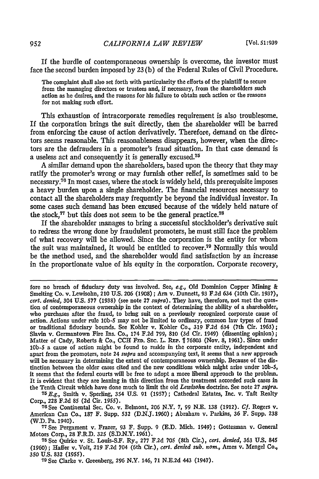If the hurdle of contemporaneous ownership is overcome, the investor must face the second burden imposed by 23 (b) of the Federal Rules of Civil Procedure.

The complaint shall also set forth with particularity the efforts of the plaintiff to secure from the managing directors or trustees and, if necessary, from the shareholders such action as he desires, and the reasons for his failure to obtain such action or the reasons for not making such effort.

This exhaustion of intracorporate remedies requirement is also troublesome. If the corporation brings the suit directly, then the shareholder will be barred from enforcing the cause of action derivatively. Therefore, demand on the directors seems reasonable. This reasonableness disappears, however, when the directors are the defrauders in a promoter's fraud situation. In that case demand is a useless act and consequently it is generally excused.<sup>75</sup>

A similar demand upon the shareholders, based upon the theory that they may ratify the promoter's wrong or may furnish other relief, is sometimes said to be necessary.76 In most cases, where the stock is widely held, this prerequisite imposes a heavy burden upon a single shareholder. The financial resources necessary to contact all the shareholders may frequently be beyond the individual investor. In some cases such demand has been excused because of the widely held nature of the stock, $77$  but this does not seem to be the general practice. $78$ 

If the shareholder manages to bring a successful stockholder's derivative suit to redress the wrong done by fraudulent promoters, he must still face the problem of what recovery will be allowed. Since the corporation is the entity for whom the suit was maintained, it would be entitled to recover.70 Normally this would be the method used, and the shareholder would find satisfaction by an increase in the proportionate value of his equity in the corporation. Corporate recovery,

*75E.g.,* Smith v. Sperling, 354 **U.S. 91 (1957);** Cathedral Estates, Inc. v. Taft Realty Corp., **228 F.2d** 85 **(2d** Cir. 1955).

**76** See Continental Sec. Co. v. Belmont, 206 N.Y. **7, 99 N.E. 138 (1912).** *Cf.* Rogers v. American Can Co., **187** F. Supp. 532 **(D.N.J. 1960);** Abraham v. Parkins, 36 F. Supp. **238 (W.D.** Pa. 1940).

**77See** Pergament v. Frazer, **93** F. Supp. 9 **(E.D.** Mich. 1949); Gottesman v. General Motors Corp., **28** F.R.D. **325 (S.D.N.Y.** 1961).

78See Quirke v. St. Louis-S.F. Ry., **277 F.2d 705** (8th Cir.), *cert. denied,* **363 U.S.** 845 (1960); Haffer v. Voit, **219 F.2d** 704 (6th Cir.), *cert. denied sub. nom.,* Ames v. Mengel Co., <sup>350</sup>**U.S. 832** (1955). **<sup>7</sup> <sup>9</sup>** See Clarke v. Greenberg, 296 N.Y. 146, **71 N.E.2d** 443 (1947).

fore no breach of fiduciary duty was involved. See, e.g., **Old** Dominion Copper Mining & Smelting Co. v. Lewisohn, 210 **U.S. 206 (1908); Arn** v. Dunnett, **93** F.2d 634 (10th Cir. **1937),** *cert. denied,* 304 **U.S. 577 (1938)** (see note **27** *supra).* They have, therefore, not met the question of contemporaneous ownership in the context of determining the ability of a shareholder, who purchases after the fraud, to bring suit on a previously recognized corporate cause of action. Actions under rule **lob-5** may not be limited to ordinary, common law types of fraud or traditional fiduciary bounds. See Kohler v. Kohler Co., 319 **F.2d** 634 (7th Cir. **1963);** Slavin v. Germantown Fire Ins. Co., 174 **F.2d 799, 810 (3d** Cir. 1949) (dissenting opinion); Matter of Cady, Roberts & Co., **CCH FED.** SEC. L. REP. **IT** 76803 (Nov. **8, 1961).** Since under **lob-5** a cause of action might be found to reside in the corporate entity, independent and apart from the promoters, note 24 *supra* and accompanying text, it seems that a new approach will be necessary in determining the extent of contemporaneous ownership. Because of the distinction between the older cases cited and the new conditions which might arise under **10b-5,** it seems that the federal courts will be free to adopt a more liberal approach to the problem. It is evident that they are leaning in this direction from the treatment accorded such cases in the Tenth Circuit which have done much to limit the old *Lewisohn* doctrine. See note **27** *.supra.*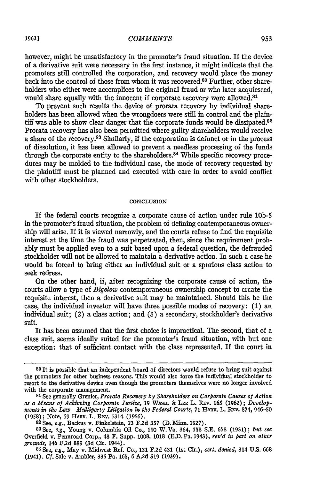#### *COMMENTS*

however, might be unsatisfactory in the promoter's fraud situation. If the device of a derivative suit were necessary in the first instance, it might indicate that the promoters still controlled the corporation, and recovery would place the money back into the control of those from whom it was recovered.<sup>80</sup> Further, other shareholders who either were accomplices to the original fraud or who later acquiesced, would share equally with the innocent if corporate recovery were allowed.<sup>81</sup>

To prevent such results the device of prorata recovery by individual shareholders has been allowed when the wrongdoers were still in control and the plaintiff was able to show clear danger that the corporate funds would be dissipated. $82$ Prorata recovery has also been permitted where guilty shareholders would receive a share of the recovery.<sup>83</sup> Similarly, if the corporation is defunct or in the process of dissolution, it has been allowed to prevent a needless processing of the funds through the corporate entity to the shareholders.<sup>84</sup> While specific recovery procedures may be molded to the individual case, the mode of recovery requested by the plaintiff must be planned and executed with care in order to avoid conflict with other stockholders.

#### **CONCLUSION**

If the federal courts recognize a corporate cause of action under rule **10b-5** in the promoter's fraud situation, the problem of defining contemporaneous ownership will arise. If it is viewed narrowly, and the courts refuse to find the requisite interest at the time the fraud was perpetrated, then, since the requirement probably must be applied even to a suit based upon a federal question, the defrauded stockholder will not be allowed to maintain a derivative action. In such a case he would be forced to bring either an individual suit or a spurious class action to seek redress.

On the other hand, if, after recognizing the corporate cause of action, the courts allow a type of *Bigelow* contemporaneous ownership concept to create the requisite interest, then a derivative suit may be maintained. Should this be the case, the individual investor will have three possible modes of recovery: (1) an individual suit; (2) a class action; and (3) a secondary, stockholder's derivative suit.

It has been assumed that the first choice is impractical. The second, that of a class suit, seems ideally suited for the promoter's fraud situation, with but one exception: that of sufficient contact with the class represented. If the court in

**<sup>80</sup> It** is possible that an independent board of directors would refuse to bring suit against the promoters for other business reasons. This would also force the individual stockholder to resort to the derivative device even though the promoters themselves were no longer involved with the corporate management.

**<sup>81</sup>**See generally Grenier, *Prorata Recovery by Shareholders on Corporate Causes of Action as a Means of Achieving Corporate Justice,* **19** WAsu. & **LEE** L. Rv. **165 (1962);** *Developtments in the Law-Multiparty Litigation in the Federal Courts,* **71** HARv. L. Rav. **874,** 946-50 (1958); Note, 69 HEAv. L. Rav. 1314 (1956). **<sup>8</sup> <sup>2</sup>**See, *e.g.,* Backus v. Finkelstein, **23 F.2d** 357 **(D.** Minn. **1927).**

**<sup>83</sup>**See, *e.g.,* Young v. Columbia Oil Co., 110 W.Va. 364, *158* S.E. **678** (1931); *but see* Overfield v. Pennroad Corp., 48 F. Supp. 1008, 1018 **(ED.** Pa. 1943), *rev'd in part on other grounds,* 146 **F.2d** 889 (3d Cir. 1944).

**<sup>84</sup>** See, *e.g.,* May v. Midwest Ref. Co., 121 F.2d 431 (1st Cir.), *cert. denied,* 314 U.S. 668 (1941). *Cf.* Sale v. Ambler, 335 Pa. 165, 6 A.2d **519** (1939).